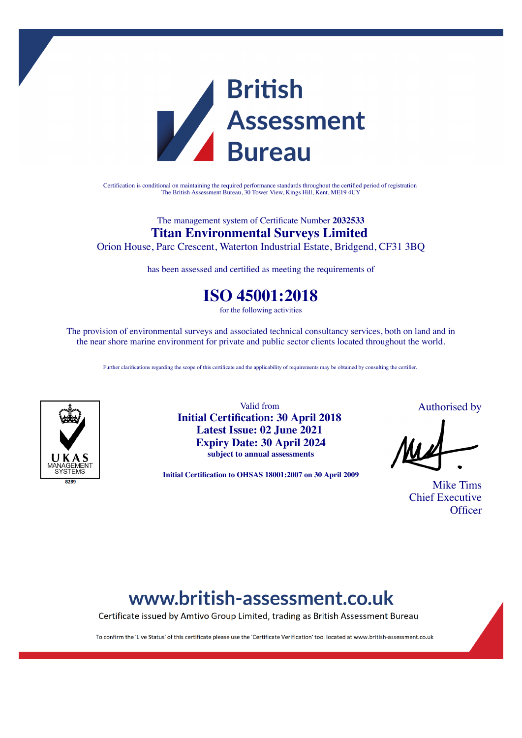

Certification is conditional on maintaining the required performance standards throughout the certified period of registration The British Assessment Bureau, 30 Tower View, Kings Hill, Kent, ME19 4UY

### The management system of Certificate Number **2032533 Titan Environmental Surveys Limited**

Orion House, Parc Crescent, Waterton Industrial Estate, Bridgend, CF31 3BQ

has been assessed and certified as meeting the requirements of

### **ISO 45001:2018**

for the following activities

The provision of environmental surveys and associated technical consultancy services, both on land and in the near shore marine environment for private and public sector clients located throughout the world.

Further clarifications regarding the scope of this certificate and the applicability of requirements may be obtained by consulting the certifier.



Valid from **Initial Certification: 30 April 2018 Latest Issue: 02 June 2021 Expiry Date: 30 April 2024 subject to annual assessments**

**Initial Certification to OHSAS 18001:2007 on 30 April 2009**

Authorised by

Mike Tims Chief Executive **Officer** 

# www.british-assessment.co.uk

Certificate issued by Amtivo Group Limited, trading as British Assessment Bureau

To confirm the 'Live Status' of this certificate please use the 'Certificate Verification' tool located at www.british-assessment.co.uk